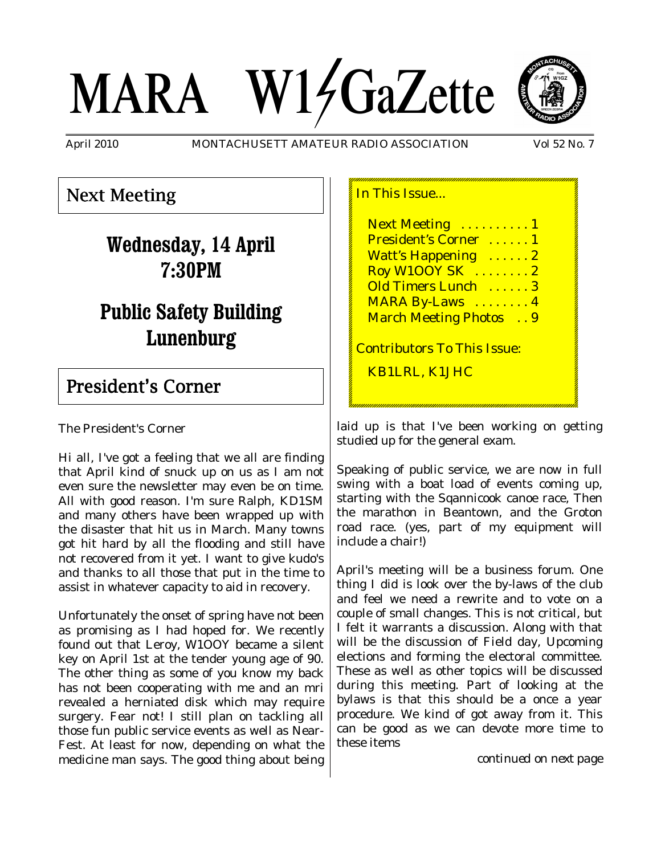# MARA W14GaZette



April 2010 MONTACHUSETT AMATEUR RADIO ASSOCIATION Vol 52 No. 7

# Next Meeting

# **Wednesday, 14 April 7:30PM**

# **Public Safety Building Lunenburg**

# President's Corner

The President's Corner

Hi all, I've got a feeling that we all are finding that April kind of snuck up on us as I am not even sure the newsletter may even be on time. All with good reason. I'm sure Ralph, KD1SM and many others have been wrapped up with the disaster that hit us in March. Many towns got hit hard by all the flooding and still have not recovered from it yet. I want to give kudo's and thanks to all those that put in the time to assist in whatever capacity to aid in recovery.

Unfortunately the onset of spring have not been as promising as I had hoped for. We recently found out that Leroy, W1OOY became a silent key on April 1st at the tender young age of 90. The other thing as some of you know my back has not been cooperating with me and an mri revealed a herniated disk which may require surgery. Fear not! I still plan on tackling all those fun public service events as well as Near-Fest. At least for now, depending on what the medicine man says. The good thing about being In This Issue...

Next Meeting .......... 1 President's Corner ...... 1 Watt's Happening ......2 Roy W1OOY SK . . . . . . . . 2 Old Timers Lunch . . . . . . 3 MARA By-Laws ........4 March Meeting Photos . . 9

Contributors To This Issue:

KB1LRL, K1JHC

laid up is that I've been working on getting studied up for the general exam.

Speaking of public service, we are now in full swing with a boat load of events coming up, starting with the Sqannicook canoe race, Then the marathon in Beantown, and the Groton road race. (yes, part of my equipment will include a chair!)

April's meeting will be a business forum. One thing I did is look over the by-laws of the club and feel we need a rewrite and to vote on a couple of small changes. This is not critical, but I felt it warrants a discussion. Along with that will be the discussion of Field day, Upcoming elections and forming the electoral committee. These as well as other topics will be discussed during this meeting. Part of looking at the bylaws is that this should be a once a year procedure. We kind of got away from it. This can be good as we can devote more time to these items

*continued on next page*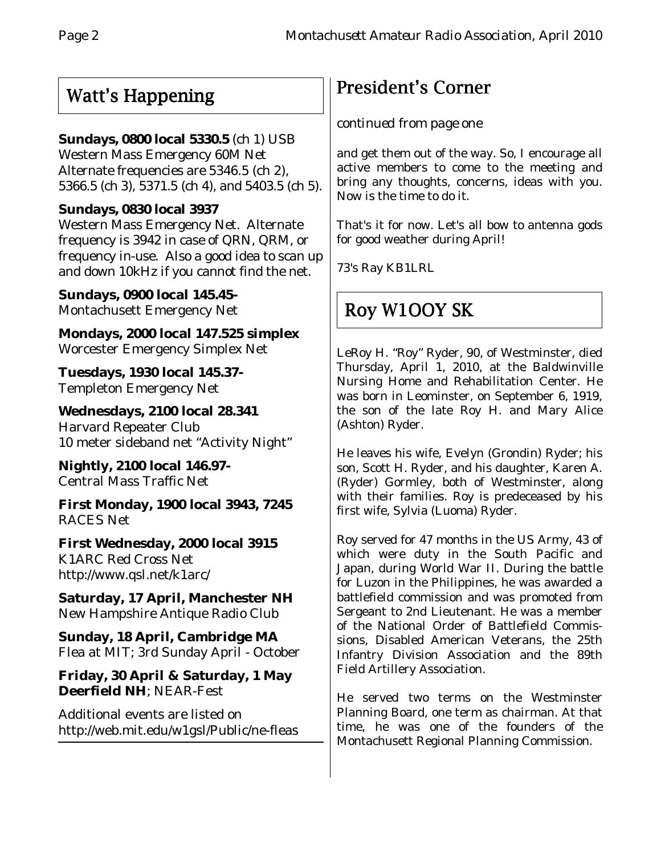# Watt's Happening

# **Sundays, 0800 local 5330.5** (ch 1) USB

Western Mass Emergency 60M Net Alternate frequencies are 5346.5 (ch 2), 5366.5 (ch 3), 5371.5 (ch 4), and 5403.5 (ch 5).

# **Sundays, 0830 local 3937**

Western Mass Emergency Net. Alternate frequency is 3942 in case of QRN, QRM, or frequency in-use. Also a good idea to scan up and down 10kHz if you cannot find the net.

**Sundays, 0900 local 145.45-** Montachusett Emergency Net

**Mondays, 2000 local 147.525 simplex** Worcester Emergency Simplex Net

**Tuesdays, 1930 local 145.37-** Templeton Emergency Net

**Wednesdays, 2100 local 28.341** Harvard Repeater Club 10 meter sideband net "Activity Night"

**Nightly, 2100 local 146.97-** Central Mass Traffic Net

**First Monday, 1900 local 3943, 7245** RACES Net

**First Wednesday, 2000 local 3915** K1ARC Red Cross Net http://www.qsl.net/k1arc/

**Saturday, 17 April, Manchester NH** New Hampshire Antique Radio Club

**Sunday, 18 April, Cambridge MA** Flea at MIT; 3rd Sunday April - October

**Friday, 30 April & Saturday, 1 May Deerfield NH**; NEAR-Fest

Additional events are listed on http://web.mit.edu/w1gsl/Public/ne-fleas

# President's Corner

# *continued from page one*

and get them out of the way. So, I encourage all active members to come to the meeting and bring any thoughts, concerns, ideas with you. Now is the time to do it.

That's it for now. Let's all bow to antenna gods for good weather during April!

73's Ray KB1LRL

# Roy W1OOY SK

LeRoy H. "Roy" Ryder, 90, of Westminster, died Thursday, April 1, 2010, at the Baldwinville Nursing Home and Rehabilitation Center. He was born in Leominster, on September 6, 1919, the son of the late Roy H. and Mary Alice (Ashton) Ryder.

He leaves his wife, Evelyn (Grondin) Ryder; his son, Scott H. Ryder, and his daughter, Karen A. (Ryder) Gormley, both of Westminster, along with their families. Roy is predeceased by his first wife, Sylvia (Luoma) Ryder.

Roy served for 47 months in the US Army, 43 of which were duty in the South Pacific and Japan, during World War II. During the battle for Luzon in the Philippines, he was awarded a battlefield commission and was promoted from Sergeant to 2nd Lieutenant. He was a member of the National Order of Battlefield Commissions, Disabled American Veterans, the 25th Infantry Division Association and the 89th Field Artillery Association.

He served two terms on the Westminster Planning Board, one term as chairman. At that time, he was one of the founders of the Montachusett Regional Planning Commission.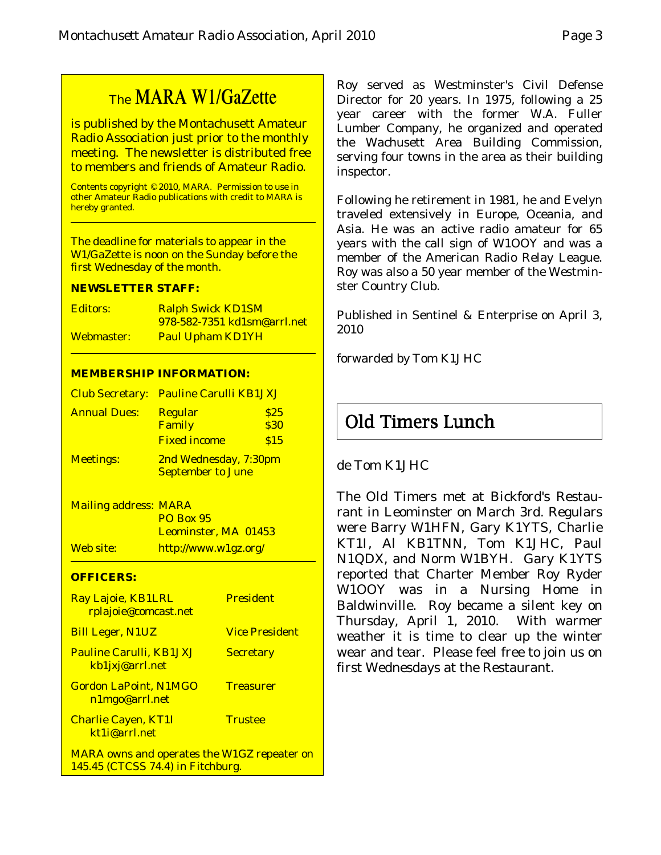# The MARA W1/GaZette

is published by the Montachusett Amateur Radio Association just prior to the monthly meeting. The newsletter is distributed free to members and friends of Amateur Radio.

Contents copyright © 2010, MARA. Permission to use in other Amateur Radio publications with credit to MARA is hereby granted.

The deadline for materials to appear in the W1/GaZette is noon on the Sunday before the first Wednesday of the month.

#### **NEWSLETTER STAFF:**

| Editors:   | <b>Ralph Swick KD1SM</b>           |
|------------|------------------------------------|
|            | <u>978-582-7351 kd1sm@arrl.net</u> |
| Webmaster: | <b>Paul Upham KD1YH</b>            |

#### **MEMBERSHIP INFORMATION:**

|                     | Club Secretary: Pauline Carulli KB1JXJ            |              |
|---------------------|---------------------------------------------------|--------------|
| <b>Annual Dues:</b> | <b>Regular</b><br>Family                          | \$25<br>\$30 |
|                     | <b>Fixed income</b>                               | \$15         |
| <b>Meetings:</b>    | 2nd Wednesday, 7:30pm<br><b>September to June</b> |              |

Mailing address: MARA PO Box 95 Leominster, MA 01453 Web site: http://www.w1gz.org/

#### **OFFICERS:**

| Ray Lajoie, KB1LRL<br>rplajoie@comcast.net                                              | <b>President</b>      |
|-----------------------------------------------------------------------------------------|-----------------------|
| <b>Bill Leger, N1UZ</b>                                                                 | <b>Vice President</b> |
| <b>Pauline Carulli, KB1JXJ</b><br>kb1jxj@arrl.net                                       | <b>Secretary</b>      |
| <b>Gordon LaPoint, N1MGO</b><br>n1mgo@arrl.net                                          | <b>Treasurer</b>      |
| <b>Charlie Cayen, KT1I</b><br>kt1i@arrl.net                                             | <b>Trustee</b>        |
| <b>MARA</b> owns and operates the W1GZ repeater on<br>145.45 (CTCSS 74.4) in Fitchburg. |                       |

Roy served as Westminster's Civil Defense Director for 20 years. In 1975, following a 25 year career with the former W.A. Fuller Lumber Company, he organized and operated the Wachusett Area Building Commission, serving four towns in the area as their building inspector.

Following he retirement in 1981, he and Evelyn traveled extensively in Europe, Oceania, and Asia. He was an active radio amateur for 65 years with the call sign of W1OOY and was a member of the American Radio Relay League. Roy was also a 50 year member of the Westminster Country Club.

Published in Sentinel & Enterprise on April 3, 2010

*forwarded by Tom K1JHC*

# Old Timers Lunch

# de Tom K1JHC

The Old Timers met at Bickford's Restaurant in Leominster on March 3rd. Regulars were Barry W1HFN, Gary K1YTS, Charlie KT1I, Al KB1TNN, Tom K1JHC, Paul N1QDX, and Norm W1BYH. Gary K1YTS reported that Charter Member Roy Ryder W1OOY was in a Nursing Home in Baldwinville. Roy became a silent key on Thursday, April 1, 2010. With warmer weather it is time to clear up the winter wear and tear. Please feel free to join us on first Wednesdays at the Restaurant.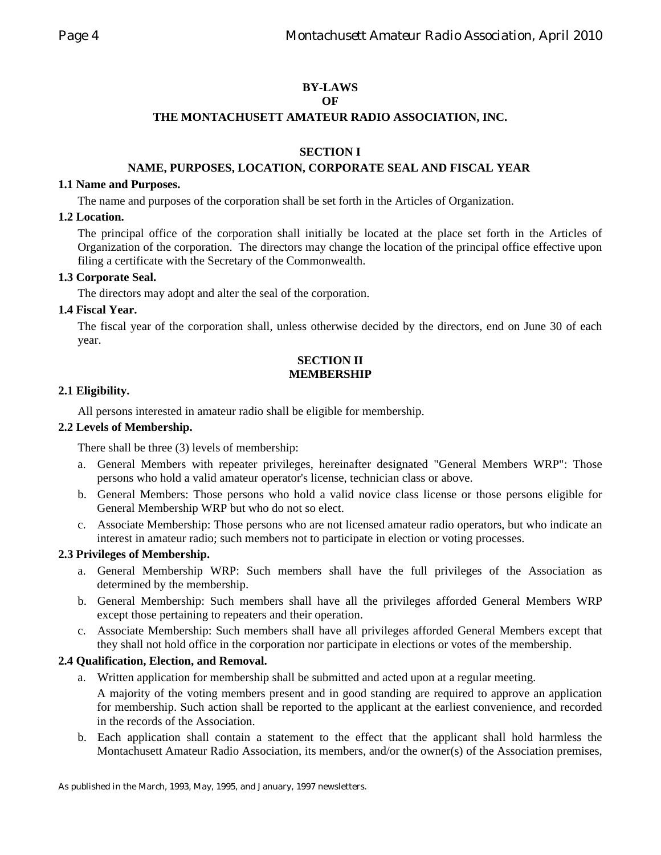# **BY-LAWS**

## **OF**

## **THE MONTACHUSETT AMATEUR RADIO ASSOCIATION, INC.**

# **SECTION I**

# **NAME, PURPOSES, LOCATION, CORPORATE SEAL AND FISCAL YEAR**

#### **1.1 Name and Purposes.**

The name and purposes of the corporation shall be set forth in the Articles of Organization.

## **1.2 Location.**

The principal office of the corporation shall initially be located at the place set forth in the Articles of Organization of the corporation. The directors may change the location of the principal office effective upon filing a certificate with the Secretary of the Commonwealth.

## **1.3 Corporate Seal.**

The directors may adopt and alter the seal of the corporation.

# **1.4 Fiscal Year.**

The fiscal year of the corporation shall, unless otherwise decided by the directors, end on June 30 of each year.

# **SECTION II MEMBERSHIP**

## **2.1 Eligibility.**

All persons interested in amateur radio shall be eligible for membership.

## **2.2 Levels of Membership.**

There shall be three (3) levels of membership:

- a. General Members with repeater privileges, hereinafter designated "General Members WRP": Those persons who hold a valid amateur operator's license, technician class or above.
- b. General Members: Those persons who hold a valid novice class license or those persons eligible for General Membership WRP but who do not so elect.
- c. Associate Membership: Those persons who are not licensed amateur radio operators, but who indicate an interest in amateur radio; such members not to participate in election or voting processes.

# **2.3 Privileges of Membership.**

- a. General Membership WRP: Such members shall have the full privileges of the Association as determined by the membership.
- b. General Membership: Such members shall have all the privileges afforded General Members WRP except those pertaining to repeaters and their operation.
- c. Associate Membership: Such members shall have all privileges afforded General Members except that they shall not hold office in the corporation nor participate in elections or votes of the membership.

# **2.4 Qualification, Election, and Removal.**

- a. Written application for membership shall be submitted and acted upon at a regular meeting.
	- A majority of the voting members present and in good standing are required to approve an application for membership. Such action shall be reported to the applicant at the earliest convenience, and recorded in the records of the Association.
- b. Each application shall contain a statement to the effect that the applicant shall hold harmless the Montachusett Amateur Radio Association, its members, and/or the owner(s) of the Association premises,

As published in the March, 1993, May, 1995, and January, 1997 newsletters.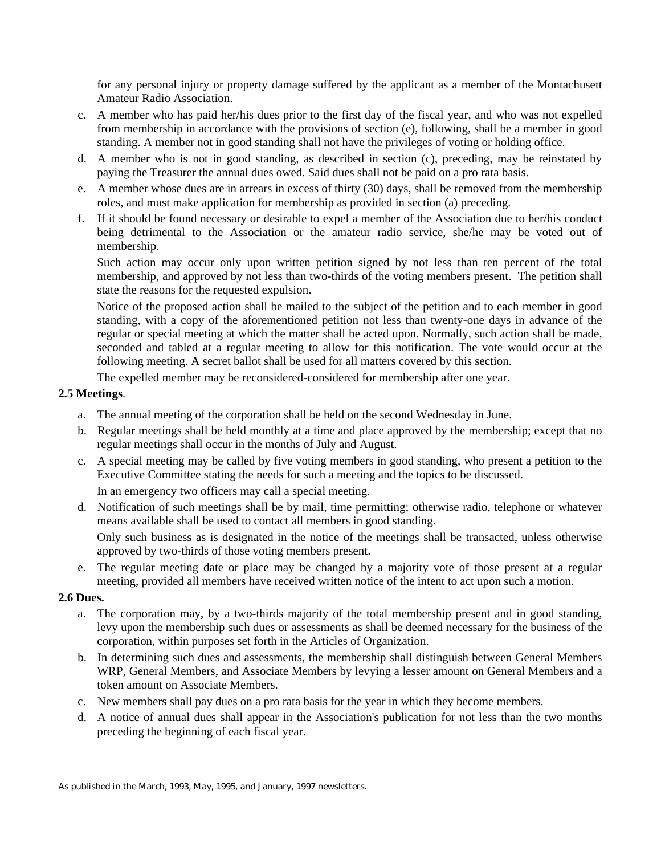for any personal injury or property damage suffered by the applicant as a member of the Montachusett Amateur Radio Association.

- c. A member who has paid her/his dues prior to the first day of the fiscal year, and who was not expelled from membership in accordance with the provisions of section (e), following, shall be a member in good standing. A member not in good standing shall not have the privileges of voting or holding office.
- d. A member who is not in good standing, as described in section (c), preceding, may be reinstated by paying the Treasurer the annual dues owed. Said dues shall not be paid on a pro rata basis.
- e. A member whose dues are in arrears in excess of thirty (30) days, shall be removed from the membership roles, and must make application for membership as provided in section (a) preceding.
- f. If it should be found necessary or desirable to expel a member of the Association due to her/his conduct being detrimental to the Association or the amateur radio service, she/he may be voted out of membership.

Such action may occur only upon written petition signed by not less than ten percent of the total membership, and approved by not less than two-thirds of the voting members present. The petition shall state the reasons for the requested expulsion.

Notice of the proposed action shall be mailed to the subject of the petition and to each member in good standing, with a copy of the aforementioned petition not less than twenty-one days in advance of the regular or special meeting at which the matter shall be acted upon. Normally, such action shall be made, seconded and tabled at a regular meeting to allow for this notification. The vote would occur at the following meeting. A secret ballot shall be used for all matters covered by this section.

The expelled member may be reconsidered-considered for membership after one year.

## **2.5 Meetings**.

- a. The annual meeting of the corporation shall be held on the second Wednesday in June.
- b. Regular meetings shall be held monthly at a time and place approved by the membership; except that no regular meetings shall occur in the months of July and August.
- c. A special meeting may be called by five voting members in good standing, who present a petition to the Executive Committee stating the needs for such a meeting and the topics to be discussed. In an emergency two officers may call a special meeting.
- d. Notification of such meetings shall be by mail, time permitting; otherwise radio, telephone or whatever means available shall be used to contact all members in good standing.

Only such business as is designated in the notice of the meetings shall be transacted, unless otherwise approved by two-thirds of those voting members present.

e. The regular meeting date or place may be changed by a majority vote of those present at a regular meeting, provided all members have received written notice of the intent to act upon such a motion.

#### **2.6 Dues.**

- a. The corporation may, by a two-thirds majority of the total membership present and in good standing, levy upon the membership such dues or assessments as shall be deemed necessary for the business of the corporation, within purposes set forth in the Articles of Organization.
- b. In determining such dues and assessments, the membership shall distinguish between General Members WRP, General Members, and Associate Members by levying a lesser amount on General Members and a token amount on Associate Members.
- c. New members shall pay dues on a pro rata basis for the year in which they become members.
- d. A notice of annual dues shall appear in the Association's publication for not less than the two months preceding the beginning of each fiscal year.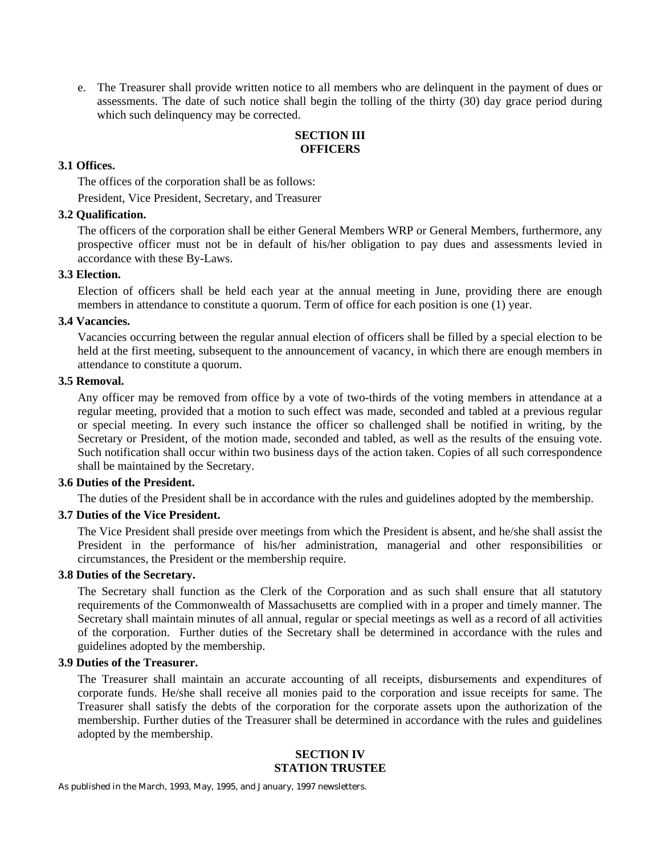e. The Treasurer shall provide written notice to all members who are delinquent in the payment of dues or assessments. The date of such notice shall begin the tolling of the thirty (30) day grace period during which such delinquency may be corrected.

#### **SECTION III OFFICERS**

#### **3.1 Offices.**

The offices of the corporation shall be as follows:

President, Vice President, Secretary, and Treasurer

# **3.2 Qualification.**

The officers of the corporation shall be either General Members WRP or General Members, furthermore, any prospective officer must not be in default of his/her obligation to pay dues and assessments levied in accordance with these By-Laws.

#### **3.3 Election.**

Election of officers shall be held each year at the annual meeting in June, providing there are enough members in attendance to constitute a quorum. Term of office for each position is one (1) year.

#### **3.4 Vacancies.**

Vacancies occurring between the regular annual election of officers shall be filled by a special election to be held at the first meeting, subsequent to the announcement of vacancy, in which there are enough members in attendance to constitute a quorum.

#### **3.5 Removal.**

Any officer may be removed from office by a vote of two-thirds of the voting members in attendance at a regular meeting, provided that a motion to such effect was made, seconded and tabled at a previous regular or special meeting. In every such instance the officer so challenged shall be notified in writing, by the Secretary or President, of the motion made, seconded and tabled, as well as the results of the ensuing vote. Such notification shall occur within two business days of the action taken. Copies of all such correspondence shall be maintained by the Secretary.

# **3.6 Duties of the President.**

The duties of the President shall be in accordance with the rules and guidelines adopted by the membership.

#### **3.7 Duties of the Vice President.**

The Vice President shall preside over meetings from which the President is absent, and he/she shall assist the President in the performance of his/her administration, managerial and other responsibilities or circumstances, the President or the membership require.

#### **3.8 Duties of the Secretary.**

The Secretary shall function as the Clerk of the Corporation and as such shall ensure that all statutory requirements of the Commonwealth of Massachusetts are complied with in a proper and timely manner. The Secretary shall maintain minutes of all annual, regular or special meetings as well as a record of all activities of the corporation. Further duties of the Secretary shall be determined in accordance with the rules and guidelines adopted by the membership.

## **3.9 Duties of the Treasurer.**

The Treasurer shall maintain an accurate accounting of all receipts, disbursements and expenditures of corporate funds. He/she shall receive all monies paid to the corporation and issue receipts for same. The Treasurer shall satisfy the debts of the corporation for the corporate assets upon the authorization of the membership. Further duties of the Treasurer shall be determined in accordance with the rules and guidelines adopted by the membership.

#### **SECTION IV STATION TRUSTEE**

As published in the March, 1993, May, 1995, and January, 1997 newsletters.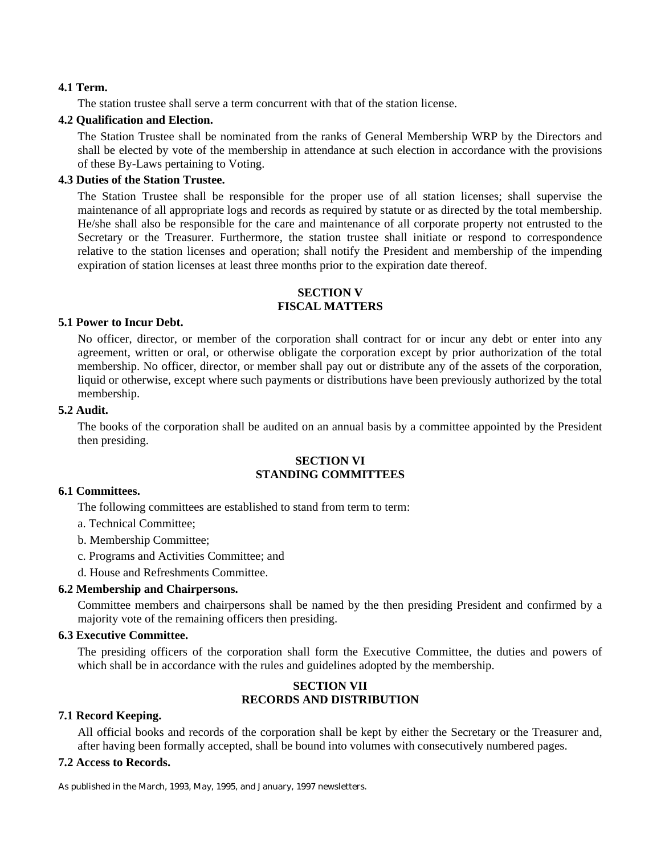#### **4.1 Term.**

The station trustee shall serve a term concurrent with that of the station license.

#### **4.2 Qualification and Election.**

The Station Trustee shall be nominated from the ranks of General Membership WRP by the Directors and shall be elected by vote of the membership in attendance at such election in accordance with the provisions of these By-Laws pertaining to Voting.

#### **4.3 Duties of the Station Trustee.**

The Station Trustee shall be responsible for the proper use of all station licenses; shall supervise the maintenance of all appropriate logs and records as required by statute or as directed by the total membership. He/she shall also be responsible for the care and maintenance of all corporate property not entrusted to the Secretary or the Treasurer. Furthermore, the station trustee shall initiate or respond to correspondence relative to the station licenses and operation; shall notify the President and membership of the impending expiration of station licenses at least three months prior to the expiration date thereof.

## **SECTION V FISCAL MATTERS**

#### **5.1 Power to Incur Debt.**

No officer, director, or member of the corporation shall contract for or incur any debt or enter into any agreement, written or oral, or otherwise obligate the corporation except by prior authorization of the total membership. No officer, director, or member shall pay out or distribute any of the assets of the corporation, liquid or otherwise, except where such payments or distributions have been previously authorized by the total membership.

#### **5.2 Audit.**

The books of the corporation shall be audited on an annual basis by a committee appointed by the President then presiding.

## **SECTION VI STANDING COMMITTEES**

#### **6.1 Committees.**

The following committees are established to stand from term to term:

- a. Technical Committee;
- b. Membership Committee;
- c. Programs and Activities Committee; and
- d. House and Refreshments Committee.

#### **6.2 Membership and Chairpersons.**

Committee members and chairpersons shall be named by the then presiding President and confirmed by a majority vote of the remaining officers then presiding.

#### **6.3 Executive Committee.**

The presiding officers of the corporation shall form the Executive Committee, the duties and powers of which shall be in accordance with the rules and guidelines adopted by the membership.

#### **SECTION VII RECORDS AND DISTRIBUTION**

#### **7.1 Record Keeping.**

All official books and records of the corporation shall be kept by either the Secretary or the Treasurer and, after having been formally accepted, shall be bound into volumes with consecutively numbered pages.

#### **7.2 Access to Records.**

As published in the March, 1993, May, 1995, and January, 1997 newsletters.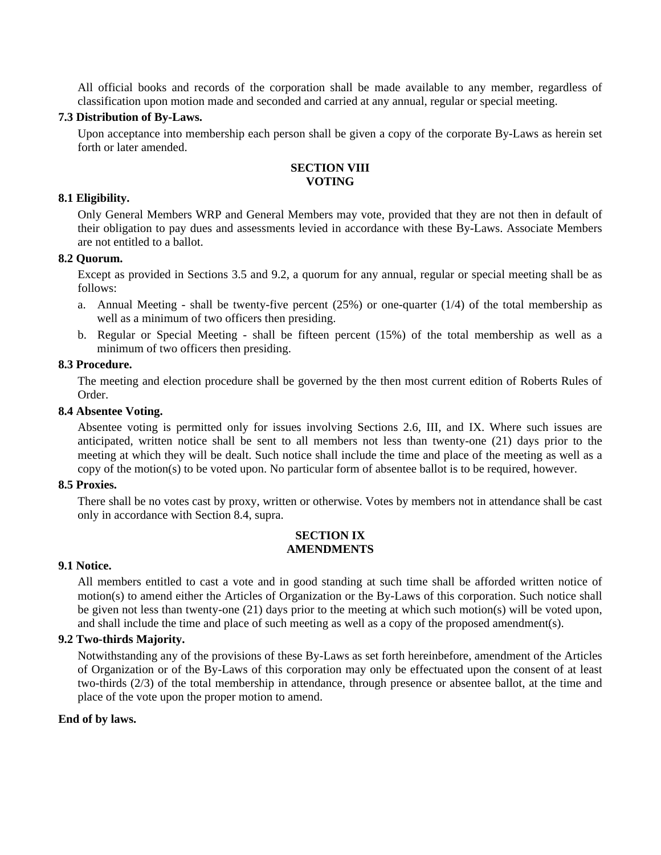All official books and records of the corporation shall be made available to any member, regardless of classification upon motion made and seconded and carried at any annual, regular or special meeting.

#### **7.3 Distribution of By-Laws.**

Upon acceptance into membership each person shall be given a copy of the corporate By-Laws as herein set forth or later amended.

## **SECTION VIII VOTING**

#### **8.1 Eligibility.**

Only General Members WRP and General Members may vote, provided that they are not then in default of their obligation to pay dues and assessments levied in accordance with these By-Laws. Associate Members are not entitled to a ballot.

#### **8.2 Quorum.**

Except as provided in Sections 3.5 and 9.2, a quorum for any annual, regular or special meeting shall be as follows:

- a. Annual Meeting shall be twenty-five percent  $(25%)$  or one-quarter  $(1/4)$  of the total membership as well as a minimum of two officers then presiding.
- b. Regular or Special Meeting shall be fifteen percent (15%) of the total membership as well as a minimum of two officers then presiding.

#### **8.3 Procedure.**

The meeting and election procedure shall be governed by the then most current edition of Roberts Rules of Order.

#### **8.4 Absentee Voting.**

Absentee voting is permitted only for issues involving Sections 2.6, III, and IX. Where such issues are anticipated, written notice shall be sent to all members not less than twenty-one (21) days prior to the meeting at which they will be dealt. Such notice shall include the time and place of the meeting as well as a copy of the motion(s) to be voted upon. No particular form of absentee ballot is to be required, however.

#### **8.5 Proxies.**

There shall be no votes cast by proxy, written or otherwise. Votes by members not in attendance shall be cast only in accordance with Section 8.4, supra.

#### **SECTION IX AMENDMENTS**

#### **9.1 Notice.**

All members entitled to cast a vote and in good standing at such time shall be afforded written notice of motion(s) to amend either the Articles of Organization or the By-Laws of this corporation. Such notice shall be given not less than twenty-one (21) days prior to the meeting at which such motion(s) will be voted upon, and shall include the time and place of such meeting as well as a copy of the proposed amendment(s).

#### **9.2 Two-thirds Majority.**

Notwithstanding any of the provisions of these By-Laws as set forth hereinbefore, amendment of the Articles of Organization or of the By-Laws of this corporation may only be effectuated upon the consent of at least two-thirds (2/3) of the total membership in attendance, through presence or absentee ballot, at the time and place of the vote upon the proper motion to amend.

#### **End of by laws.**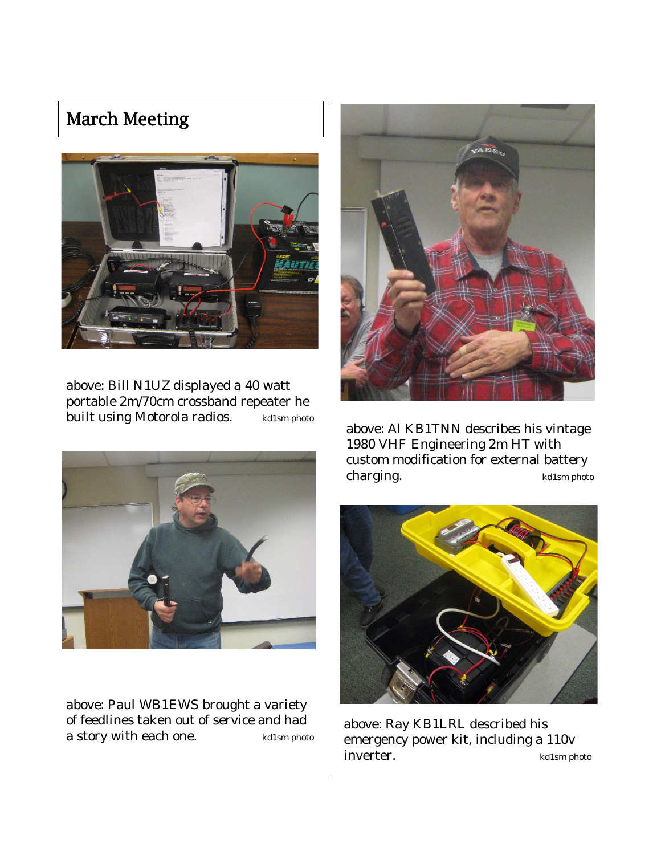# March Meeting



above: Bill N1UZ displayed a 40 watt portable 2m/70cm crossband repeater he built using Motorola radios. kd1sm photo



above: Paul WB1EWS brought a variety of feedlines taken out of service and had a story with each one.  $k$ d1sm photo



above: Al KB1TNN describes his vintage 1980 VHF Engineering 2m HT with custom modification for external battery charging. kd1sm photo



above: Ray KB1LRL described his emergency power kit, including a 110v inverter.  $k$ d1sm photo